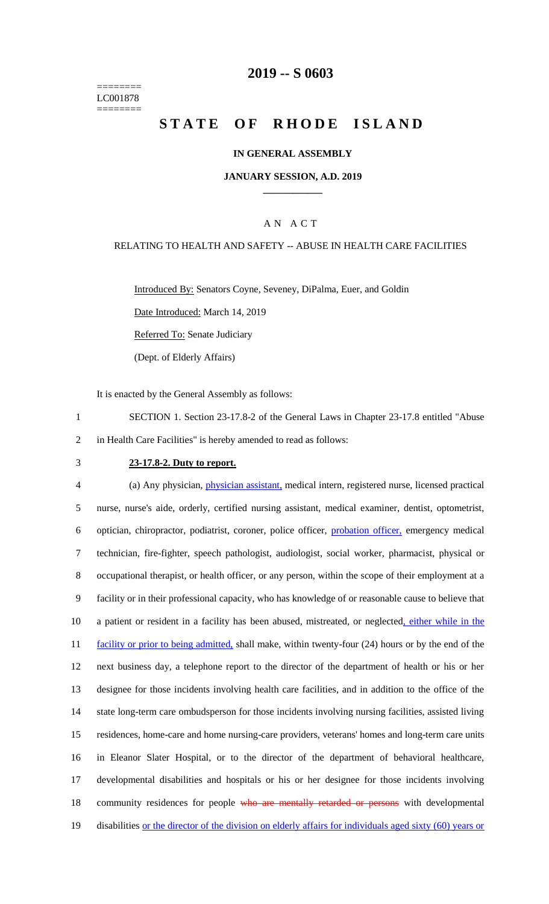======== LC001878 ========

# **2019 -- S 0603**

# **STATE OF RHODE ISLAND**

#### **IN GENERAL ASSEMBLY**

#### **JANUARY SESSION, A.D. 2019 \_\_\_\_\_\_\_\_\_\_\_\_**

## A N A C T

#### RELATING TO HEALTH AND SAFETY -- ABUSE IN HEALTH CARE FACILITIES

Introduced By: Senators Coyne, Seveney, DiPalma, Euer, and Goldin

Date Introduced: March 14, 2019

Referred To: Senate Judiciary

(Dept. of Elderly Affairs)

It is enacted by the General Assembly as follows:

- 1 SECTION 1. Section 23-17.8-2 of the General Laws in Chapter 23-17.8 entitled "Abuse 2 in Health Care Facilities" is hereby amended to read as follows:
- 

#### 3 **23-17.8-2. Duty to report.**

 (a) Any physician, physician assistant, medical intern, registered nurse, licensed practical nurse, nurse's aide, orderly, certified nursing assistant, medical examiner, dentist, optometrist, optician, chiropractor, podiatrist, coroner, police officer, probation officer, emergency medical technician, fire-fighter, speech pathologist, audiologist, social worker, pharmacist, physical or occupational therapist, or health officer, or any person, within the scope of their employment at a facility or in their professional capacity, who has knowledge of or reasonable cause to believe that 10 a patient or resident in a facility has been abused, mistreated, or neglected, either while in the 11 facility or prior to being admitted, shall make, within twenty-four (24) hours or by the end of the next business day, a telephone report to the director of the department of health or his or her designee for those incidents involving health care facilities, and in addition to the office of the state long-term care ombudsperson for those incidents involving nursing facilities, assisted living residences, home-care and home nursing-care providers, veterans' homes and long-term care units in Eleanor Slater Hospital, or to the director of the department of behavioral healthcare, developmental disabilities and hospitals or his or her designee for those incidents involving 18 community residences for people who are mentally retarded or persons with developmental disabilities or the director of the division on elderly affairs for individuals aged sixty (60) years or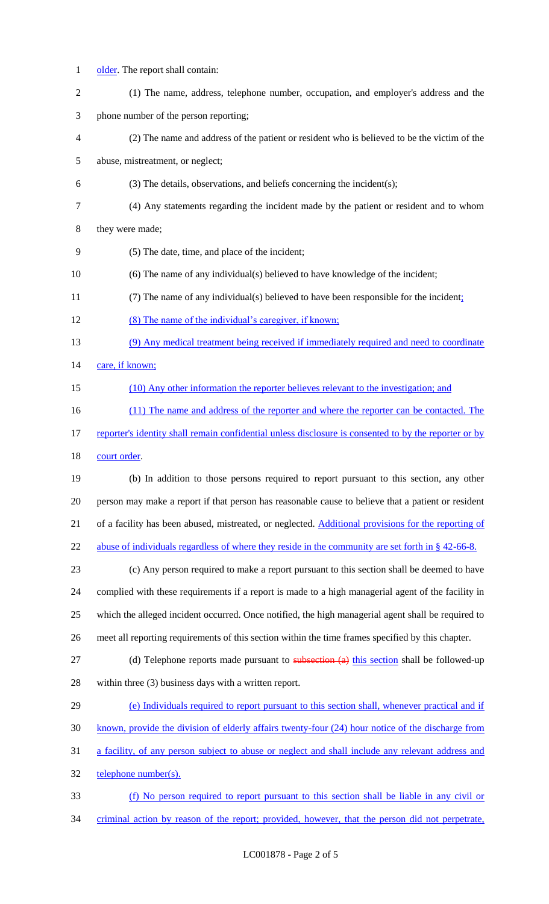- 1 older. The report shall contain:
- (1) The name, address, telephone number, occupation, and employer's address and the phone number of the person reporting;
- (2) The name and address of the patient or resident who is believed to be the victim of the
- abuse, mistreatment, or neglect;
- (3) The details, observations, and beliefs concerning the incident(s);
- (4) Any statements regarding the incident made by the patient or resident and to whom

they were made;

- (5) The date, time, and place of the incident;
- (6) The name of any individual(s) believed to have knowledge of the incident;
- 11 (7) The name of any individual(s) believed to have been responsible for the incident;
- (8) The name of the individual's caregiver, if known;
- (9) Any medical treatment being received if immediately required and need to coordinate
- 14 care, if known;
- (10) Any other information the reporter believes relevant to the investigation; and
- 16 (11) The name and address of the reporter and where the reporter can be contacted. The
- 17 reporter's identity shall remain confidential unless disclosure is consented to by the reporter or by 18 court order.
- (b) In addition to those persons required to report pursuant to this section, any other person may make a report if that person has reasonable cause to believe that a patient or resident of a facility has been abused, mistreated, or neglected. Additional provisions for the reporting of 22 abuse of individuals regardless of where they reside in the community are set forth in § 42-66-8.
- (c) Any person required to make a report pursuant to this section shall be deemed to have complied with these requirements if a report is made to a high managerial agent of the facility in which the alleged incident occurred. Once notified, the high managerial agent shall be required to meet all reporting requirements of this section within the time frames specified by this chapter.
- 27 (d) Telephone reports made pursuant to subsection (a) this section shall be followed-up within three (3) business days with a written report.
- 29 (e) Individuals required to report pursuant to this section shall, whenever practical and if known, provide the division of elderly affairs twenty-four (24) hour notice of the discharge from a facility, of any person subject to abuse or neglect and shall include any relevant address and telephone number(s). (f) No person required to report pursuant to this section shall be liable in any civil or
- 34 criminal action by reason of the report; provided, however, that the person did not perpetrate,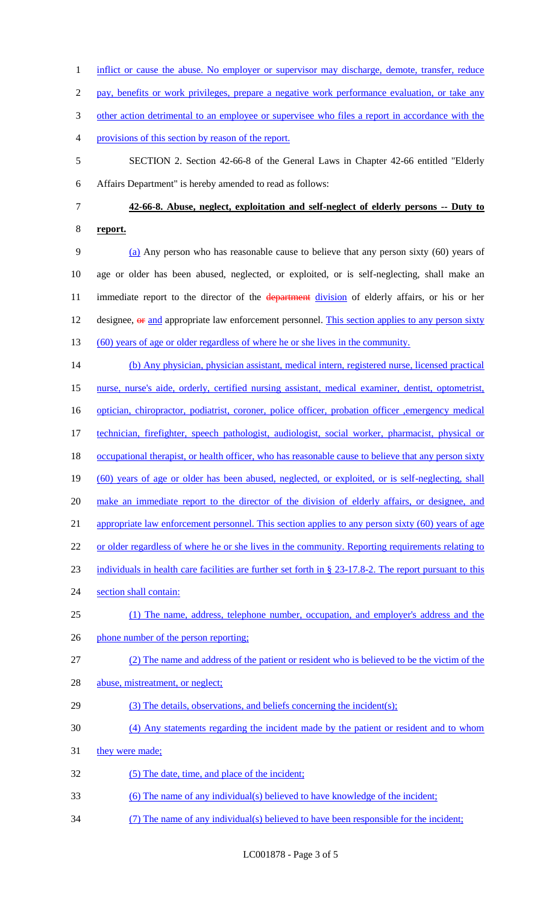1 inflict or cause the abuse. No employer or supervisor may discharge, demote, transfer, reduce 2 pay, benefits or work privileges, prepare a negative work performance evaluation, or take any 3 other action detrimental to an employee or supervisee who files a report in accordance with the 4 provisions of this section by reason of the report. 5 SECTION 2. Section 42-66-8 of the General Laws in Chapter 42-66 entitled "Elderly 6 Affairs Department" is hereby amended to read as follows: 7 **42-66-8. Abuse, neglect, exploitation and self-neglect of elderly persons -- Duty to**  8 **report.** 9 (a) Any person who has reasonable cause to believe that any person sixty (60) years of 10 age or older has been abused, neglected, or exploited, or is self-neglecting, shall make an 11 immediate report to the director of the department division of elderly affairs, or his or her 12 designee,  $\theta$  and appropriate law enforcement personnel. This section applies to any person sixty 13 (60) years of age or older regardless of where he or she lives in the community. 14 (b) Any physician, physician assistant, medical intern, registered nurse, licensed practical 15 nurse, nurse's aide, orderly, certified nursing assistant, medical examiner, dentist, optometrist, 16 optician, chiropractor, podiatrist, coroner, police officer, probation officer , emergency medical 17 technician, firefighter, speech pathologist, audiologist, social worker, pharmacist, physical or 18 occupational therapist, or health officer, who has reasonable cause to believe that any person sixty 19 (60) years of age or older has been abused, neglected, or exploited, or is self-neglecting, shall 20 make an immediate report to the director of the division of elderly affairs, or designee, and 21 appropriate law enforcement personnel. This section applies to any person sixty (60) years of age 22 or older regardless of where he or she lives in the community. Reporting requirements relating to 23 individuals in health care facilities are further set forth in § 23-17.8-2. The report pursuant to this 24 section shall contain: 25 (1) The name, address, telephone number, occupation, and employer's address and the 26 phone number of the person reporting; 27 (2) The name and address of the patient or resident who is believed to be the victim of the 28 abuse, mistreatment, or neglect; 29 (3) The details, observations, and beliefs concerning the incident(s); 30 (4) Any statements regarding the incident made by the patient or resident and to whom 31 they were made; 32 (5) The date, time, and place of the incident; 33 (6) The name of any individual(s) believed to have knowledge of the incident; 34 (7) The name of any individual(s) believed to have been responsible for the incident;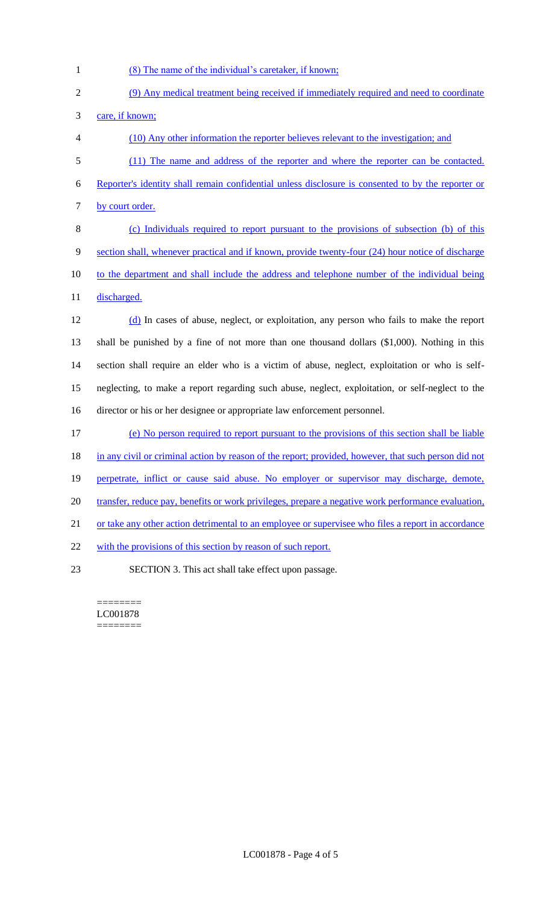- 1 (8) The name of the individual's caretaker, if known;
- 2 (9) Any medical treatment being received if immediately required and need to coordinate 3 care, if known; 4 (10) Any other information the reporter believes relevant to the investigation; and
- 5 (11) The name and address of the reporter and where the reporter can be contacted.
- 6 Reporter's identity shall remain confidential unless disclosure is consented to by the reporter or 7 by court order.

8 (c) Individuals required to report pursuant to the provisions of subsection (b) of this 9 section shall, whenever practical and if known, provide twenty-four (24) hour notice of discharge 10 to the department and shall include the address and telephone number of the individual being 11 discharged.

 (d) In cases of abuse, neglect, or exploitation, any person who fails to make the report shall be punished by a fine of not more than one thousand dollars (\$1,000). Nothing in this section shall require an elder who is a victim of abuse, neglect, exploitation or who is self- neglecting, to make a report regarding such abuse, neglect, exploitation, or self-neglect to the director or his or her designee or appropriate law enforcement personnel.

17 (e) No person required to report pursuant to the provisions of this section shall be liable

18 in any civil or criminal action by reason of the report; provided, however, that such person did not

- 19 perpetrate, inflict or cause said abuse. No employer or supervisor may discharge, demote,
- 20 transfer, reduce pay, benefits or work privileges, prepare a negative work performance evaluation,
- 21 or take any other action detrimental to an employee or supervisee who files a report in accordance

22 with the provisions of this section by reason of such report.

23 SECTION 3. This act shall take effect upon passage.

======== LC001878 ========